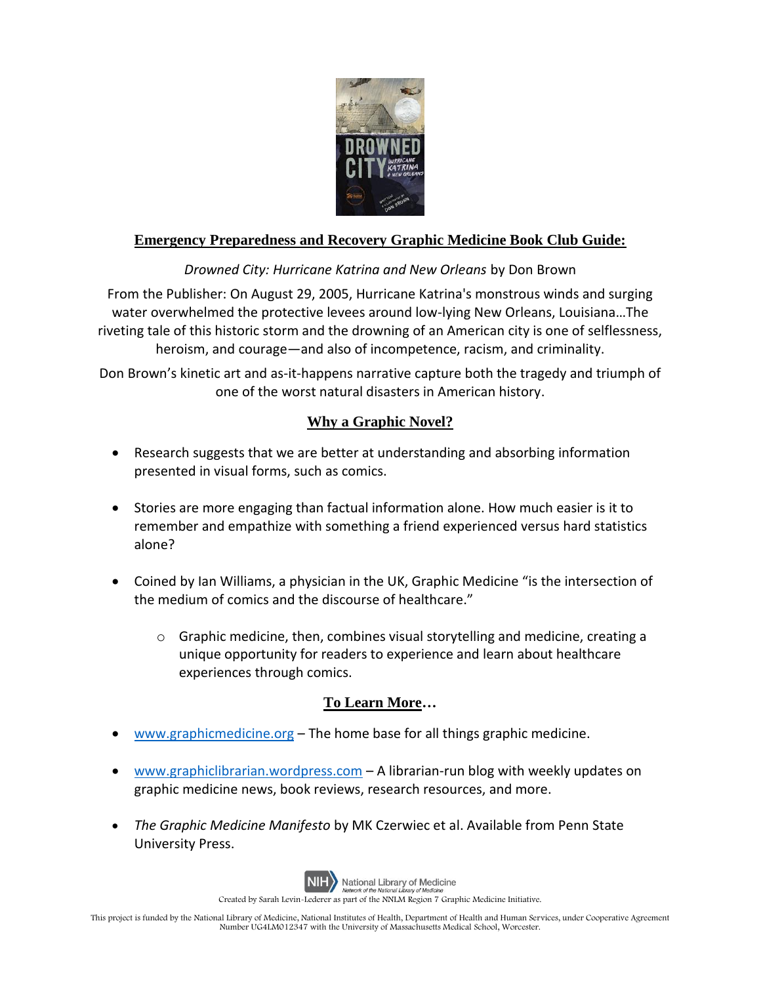

## **Emergency Preparedness and Recovery Graphic Medicine Book Club Guide:**

*Drowned City: Hurricane Katrina and New Orleans* by Don Brown

From the Publisher: On August 29, 2005, Hurricane Katrina's monstrous winds and surging water overwhelmed the protective levees around low-lying New Orleans, Louisiana…The riveting tale of this historic storm and the drowning of an American city is one of selflessness, heroism, and courage—and also of incompetence, racism, and criminality.

Don Brown's kinetic art and as-it-happens narrative capture both the tragedy and triumph of one of the worst natural disasters in American history.

## **Why a Graphic Novel?**

- Research suggests that we are better at understanding and absorbing information presented in visual forms, such as comics.
- Stories are more engaging than factual information alone. How much easier is it to remember and empathize with something a friend experienced versus hard statistics alone?
- Coined by Ian Williams, a physician in the UK, Graphic Medicine "is the intersection of the medium of comics and the discourse of healthcare."
	- $\circ$  Graphic medicine, then, combines visual storytelling and medicine, creating a unique opportunity for readers to experience and learn about healthcare experiences through comics.

## **To Learn More…**

- [www.graphicmedicine.org](http://www.graphicmedicine.org/) The home base for all things graphic medicine.
- [www.graphiclibrarian.wordpress.com](http://www.graphiclibrarian.wordpress.com/) A librarian-run blog with weekly updates on graphic medicine news, book reviews, research resources, and more.
- *The Graphic Medicine Manifesto* by MK Czerwiec et al. Available from Penn State University Press.



National Library of Medicine ork of the National Lit

Created by Sarah Levin-Lederer as part of the NNLM Region 7 Graphic Medicine Initiative.

This project is funded by the National Library of Medicine, National Institutes of Health, Department of Health and Human Services, under Cooperative Agreement Number UG4LM012347 with the University of Massachusetts Medical School, Worcester.